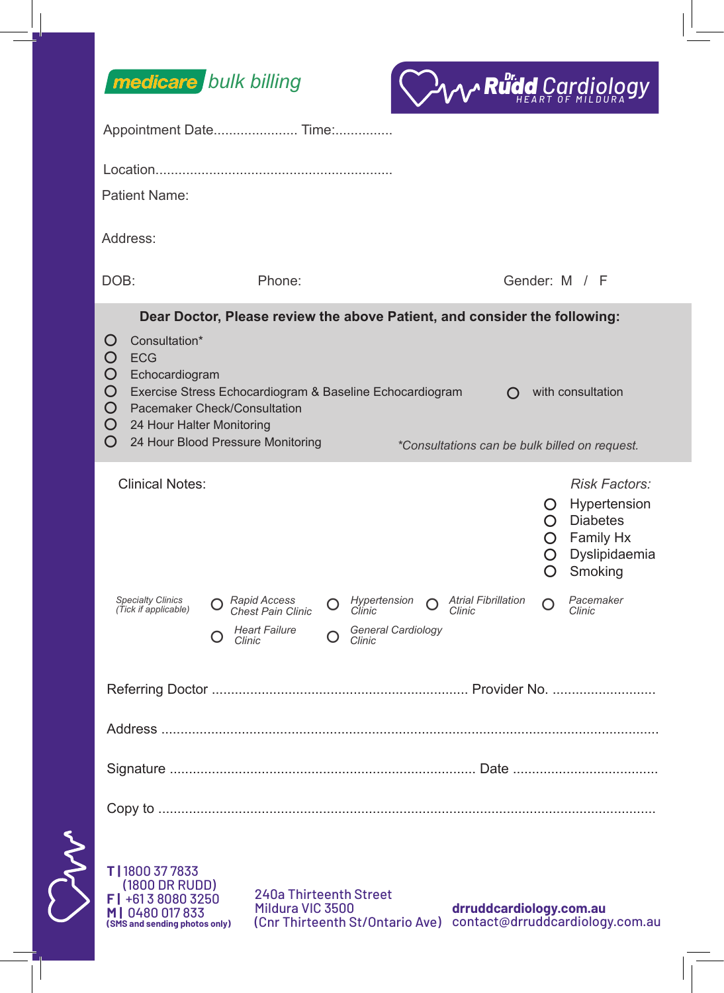

M



| Appointment Date Time:                                                                                                                                                                                                                                 |                                                                                                                                                                                                                                                                                               |                                                                            |   |                                                        |        |                            |                  |                                                                                                    |  |
|--------------------------------------------------------------------------------------------------------------------------------------------------------------------------------------------------------------------------------------------------------|-----------------------------------------------------------------------------------------------------------------------------------------------------------------------------------------------------------------------------------------------------------------------------------------------|----------------------------------------------------------------------------|---|--------------------------------------------------------|--------|----------------------------|------------------|----------------------------------------------------------------------------------------------------|--|
|                                                                                                                                                                                                                                                        |                                                                                                                                                                                                                                                                                               |                                                                            |   |                                                        |        |                            |                  |                                                                                                    |  |
| Patient Name:                                                                                                                                                                                                                                          |                                                                                                                                                                                                                                                                                               |                                                                            |   |                                                        |        |                            |                  |                                                                                                    |  |
| Address:                                                                                                                                                                                                                                               |                                                                                                                                                                                                                                                                                               |                                                                            |   |                                                        |        |                            |                  |                                                                                                    |  |
| DOB:                                                                                                                                                                                                                                                   |                                                                                                                                                                                                                                                                                               | Phone:                                                                     |   |                                                        |        | Gender: M / F              |                  |                                                                                                    |  |
| Dear Doctor, Please review the above Patient, and consider the following:                                                                                                                                                                              |                                                                                                                                                                                                                                                                                               |                                                                            |   |                                                        |        |                            |                  |                                                                                                    |  |
| Ő<br>O<br>O<br>O<br>O<br>O<br>O                                                                                                                                                                                                                        | Consultation*<br><b>ECG</b><br>Echocardiogram<br>Exercise Stress Echocardiogram & Baseline Echocardiogram<br>with consultation<br>$\Omega$<br>Pacemaker Check/Consultation<br>24 Hour Halter Monitoring<br>24 Hour Blood Pressure Monitoring<br>*Consultations can be bulk billed on request. |                                                                            |   |                                                        |        |                            |                  |                                                                                                    |  |
|                                                                                                                                                                                                                                                        | <b>Clinical Notes:</b>                                                                                                                                                                                                                                                                        |                                                                            |   |                                                        |        |                            | Ő<br>∩<br>O<br>O | <b>Risk Factors:</b><br>Hypertension<br><b>Diabetes</b><br>O Family Hx<br>Dyslipidaemia<br>Smoking |  |
|                                                                                                                                                                                                                                                        | Specialty Clinics<br>(Tick if applicable)                                                                                                                                                                                                                                                     | <b>Rapid Access</b><br>Chest Pain Clinic<br><b>Heart Failure</b><br>Clinic | O | Hypertension<br>Clinic<br>General Cardiology<br>Clinic | Clinic | <b>Atrial Fibrillation</b> | O                | Pacemaker<br>Clinic                                                                                |  |
|                                                                                                                                                                                                                                                        |                                                                                                                                                                                                                                                                                               |                                                                            |   |                                                        |        |                            |                  |                                                                                                    |  |
|                                                                                                                                                                                                                                                        |                                                                                                                                                                                                                                                                                               |                                                                            |   |                                                        |        |                            |                  |                                                                                                    |  |
|                                                                                                                                                                                                                                                        |                                                                                                                                                                                                                                                                                               |                                                                            |   |                                                        |        |                            |                  |                                                                                                    |  |
|                                                                                                                                                                                                                                                        | Copy to                                                                                                                                                                                                                                                                                       |                                                                            |   |                                                        |        |                            |                  |                                                                                                    |  |
| T   1800 37 7833<br>(1800 DR RUDD)<br>240a Thirteenth Street<br>$F$ +61 3 8080 3250<br>Mildura VIC 3500<br>drruddcardiology.com.au<br>MI0480017833<br>(Cnr Thirteenth St/Ontario Ave) contact@drruddcardiology.com.au<br>(SMS and sending photos only) |                                                                                                                                                                                                                                                                                               |                                                                            |   |                                                        |        |                            |                  |                                                                                                    |  |